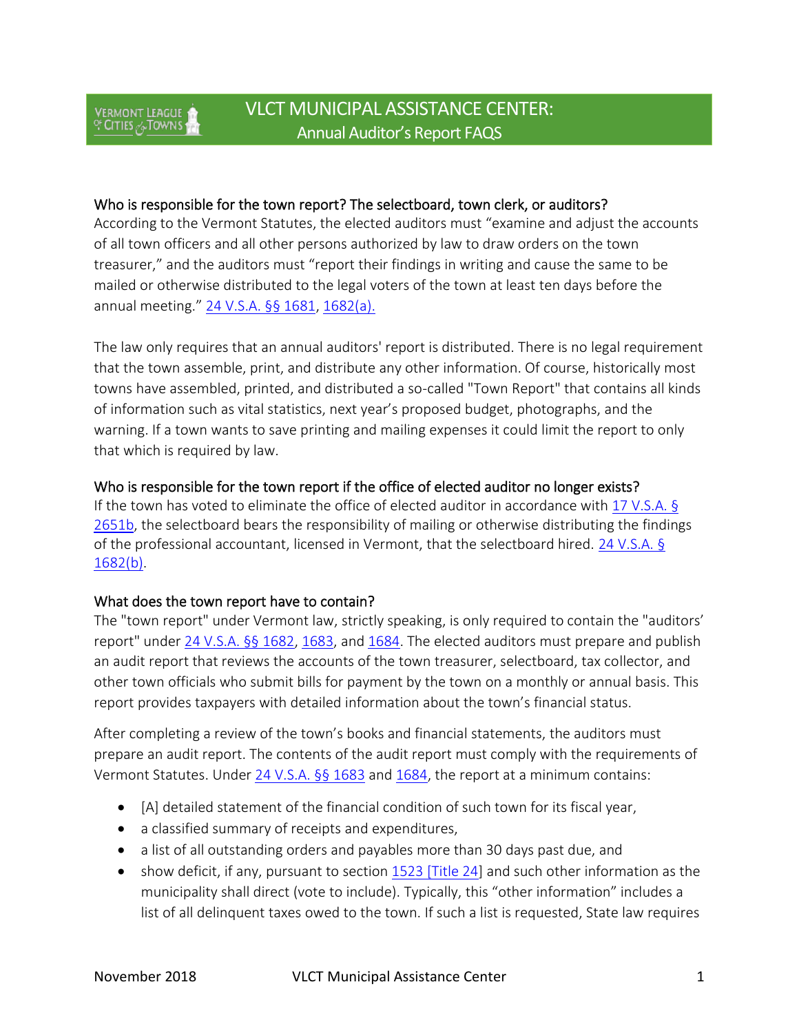## Who is responsible for the town report? The selectboard, town clerk, or auditors?

According to the Vermont Statutes, the elected auditors must "examine and adjust the accounts of all town officers and all other persons authorized by law to draw orders on the town treasurer," and the auditors must "report their findings in writing and cause the same to be mailed or otherwise distributed to the legal voters of the town at least ten days before the annual meeting." [24 V.S.A. §§ 1681,](https://legislature.vermont.gov/statutes/section/24/051/01681) [1682\(a\).](https://legislature.vermont.gov/statutes/section/24/051/01682)

The law only requires that an annual auditors' report is distributed. There is no legal requirement that the town assemble, print, and distribute any other information. Of course, historically most towns have assembled, printed, and distributed a so-called "Town Report" that contains all kinds of information such as vital statistics, next year's proposed budget, photographs, and the warning. If a town wants to save printing and mailing expenses it could limit the report to only that which is required by law.

## Who is responsible for the town report if the office of elected auditor no longer exists?

If the town has voted to eliminate the office of elected auditor in accordance with [17 V.S.A. §](https://legislature.vermont.gov/statutes/section/17/055/02651b)  [2651b,](https://legislature.vermont.gov/statutes/section/17/055/02651b) the selectboard bears the responsibility of mailing or otherwise distributing the findings of the professional accountant, licensed in Vermont, that the selectboard hired. [24 V.S.A. §](https://legislature.vermont.gov/statutes/section/24/051/01682)  [1682\(b\).](https://legislature.vermont.gov/statutes/section/24/051/01682)

### What does the town report have to contain?

The "town report" under Vermont law, strictly speaking, is only required to contain the "auditors' report" under [24 V.S.A. §§ 1682,](https://legislature.vermont.gov/statutes/section/24/051/01682) [1683,](https://legislature.vermont.gov/statutes/section/24/051/01683) and [1684.](https://legislature.vermont.gov/statutes/section/24/051/01684) The elected auditors must prepare and publish an audit report that reviews the accounts of the town treasurer, selectboard, tax collector, and other town officials who submit bills for payment by the town on a monthly or annual basis. This report provides taxpayers with detailed information about the town's financial status.

After completing a review of the town's books and financial statements, the auditors must prepare an audit report. The contents of the audit report must comply with the requirements of Vermont Statutes. Under [24 V.S.A. §§ 1683](https://legislature.vermont.gov/statutes/section/24/051/01683) and [1684,](https://legislature.vermont.gov/statutes/section/24/051/01684) the report at a minimum contains:

- [A] detailed statement of the financial condition of such town for its fiscal year,
- a classified summary of receipts and expenditures,
- a list of all outstanding orders and payables more than 30 days past due, and
- show deficit, if any, pursuant to section [1523 \[Title 24\]](https://legislature.vermont.gov/statutes/section/24/051/01523) and such other information as the municipality shall direct (vote to include). Typically, this "other information" includes a list of all delinquent taxes owed to the town. If such a list is requested, State law requires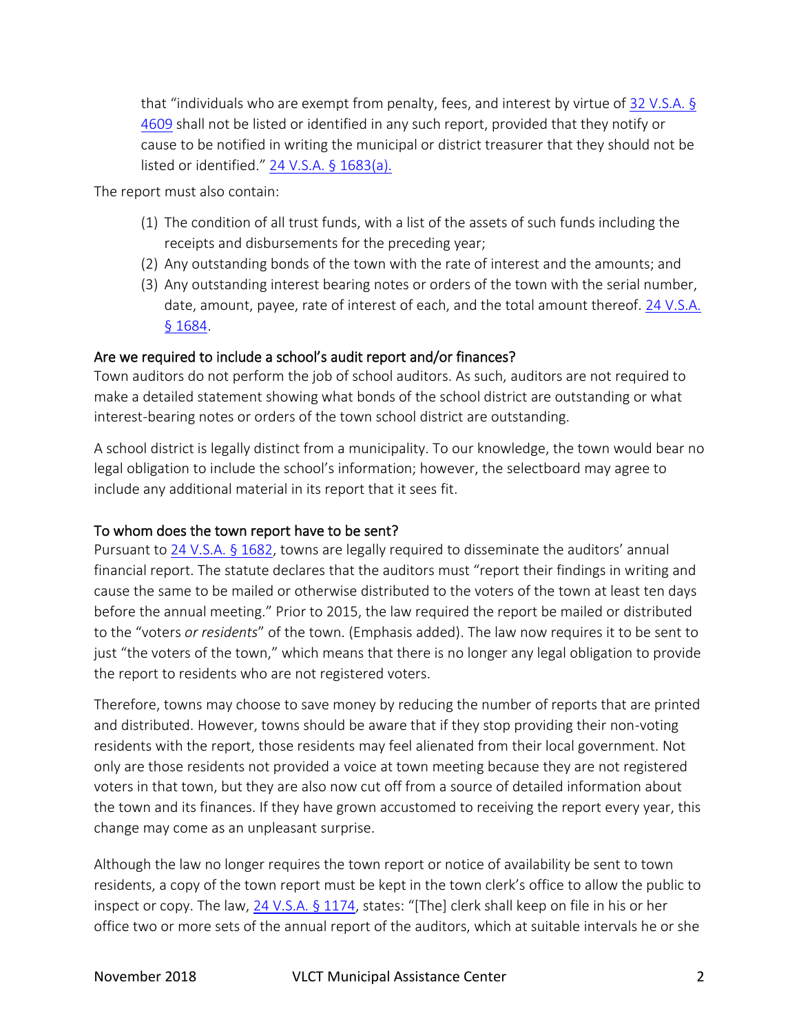that "individuals who are exempt from penalty, fees, and interest by virtue of [32 V.S.A. §](https://legislature.vermont.gov/statutes/section/32/133/04609)  [4609](https://legislature.vermont.gov/statutes/section/32/133/04609) shall not be listed or identified in any such report, provided that they notify or cause to be notified in writing the municipal or district treasurer that they should not be listed or identified." [24 V.S.A. § 1683\(a\).](https://legislature.vermont.gov/statutes/section/24/051/01683)

The report must also contain:

- (1) The condition of all trust funds, with a list of the assets of such funds including the receipts and disbursements for the preceding year;
- (2) Any outstanding bonds of the town with the rate of interest and the amounts; and
- (3) Any outstanding interest bearing notes or orders of the town with the serial number, date, amount, payee, rate of interest of each, and the total amount thereof. [24 V.S.A.](https://legislature.vermont.gov/statutes/section/24/051/01684)  [§ 1684.](https://legislature.vermont.gov/statutes/section/24/051/01684)

# Are we required to include a school's audit report and/or finances?

Town auditors do not perform the job of school auditors. As such, auditors are not required to make a detailed statement showing what bonds of the school district are outstanding or what interest-bearing notes or orders of the town school district are outstanding.

A school district is legally distinct from a municipality. To our knowledge, the town would bear no legal obligation to include the school's information; however, the selectboard may agree to include any additional material in its report that it sees fit.

# To whom does the town report have to be sent?

Pursuant to [24 V.S.A. § 1682](https://legislature.vermont.gov/statutes/section/24/051/01682), towns are legally required to disseminate the auditors' annual financial report. The statute declares that the auditors must "report their findings in writing and cause the same to be mailed or otherwise distributed to the voters of the town at least ten days before the annual meeting." Prior to 2015, the law required the report be mailed or distributed to the "voters *or residents*" of the town. (Emphasis added). The law now requires it to be sent to just "the voters of the town," which means that there is no longer any legal obligation to provide the report to residents who are not registered voters.

Therefore, towns may choose to save money by reducing the number of reports that are printed and distributed. However, towns should be aware that if they stop providing their non-voting residents with the report, those residents may feel alienated from their local government. Not only are those residents not provided a voice at town meeting because they are not registered voters in that town, but they are also now cut off from a source of detailed information about the town and its finances. If they have grown accustomed to receiving the report every year, this change may come as an unpleasant surprise.

Although the law no longer requires the town report or notice of availability be sent to town residents, a copy of the town report must be kept in the town clerk's office to allow the public to inspect or copy. The law, [24 V.S.A. § 1174](https://legislature.vermont.gov/statutes/section/24/035/01174), states: "[The] clerk shall keep on file in his or her office two or more sets of the annual report of the auditors, which at suitable intervals he or she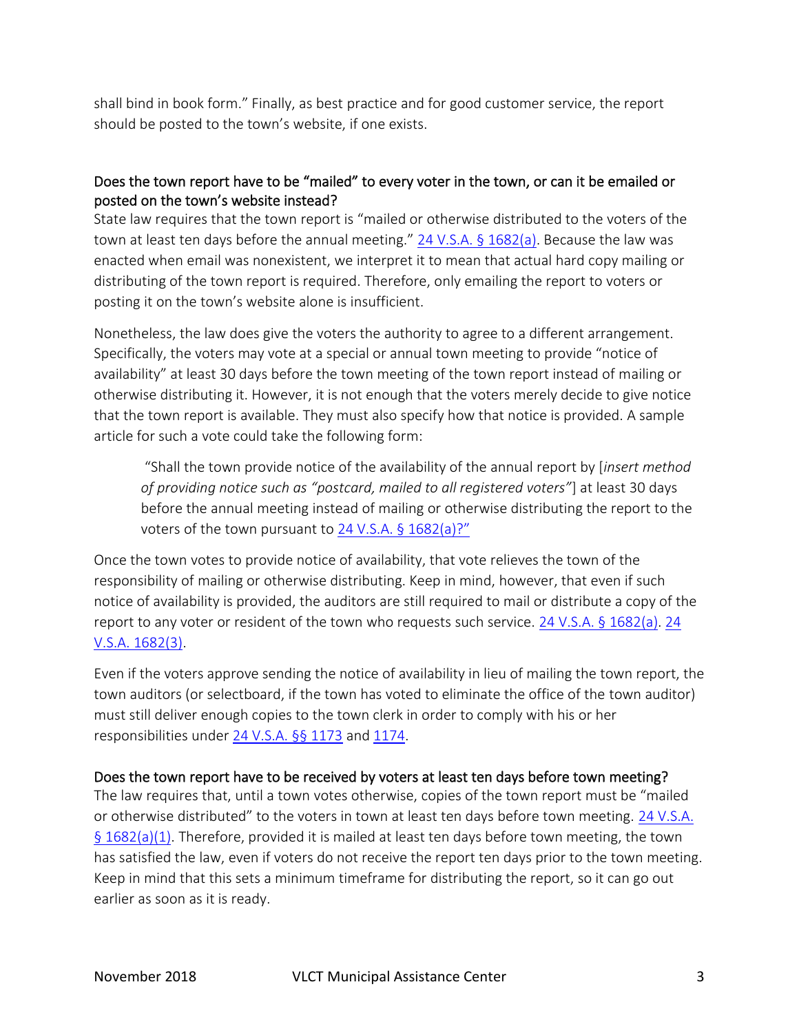shall bind in book form." Finally, as best practice and for good customer service, the report should be posted to the town's website, if one exists.

# Does the town report have to be "mailed" to every voter in the town, or can it be emailed or posted on the town's website instead?

State law requires that the town report is "mailed or otherwise distributed to the voters of the town at least ten days before the annual meeting." [24 V.S.A. § 1682\(a\).](https://legislature.vermont.gov/statutes/section/24/051/01682) Because the law was enacted when email was nonexistent, we interpret it to mean that actual hard copy mailing or distributing of the town report is required. Therefore, only emailing the report to voters or posting it on the town's website alone is insufficient.

Nonetheless, the law does give the voters the authority to agree to a different arrangement. Specifically, the voters may vote at a special or annual town meeting to provide "notice of availability" at least 30 days before the town meeting of the town report instead of mailing or otherwise distributing it. However, it is not enough that the voters merely decide to give notice that the town report is available. They must also specify how that notice is provided. A sample article for such a vote could take the following form:

"Shall the town provide notice of the availability of the annual report by [*insert method of providing notice such as "postcard, mailed to all registered voters"*] at least 30 days before the annual meeting instead of mailing or otherwise distributing the report to the voters of the town pursuant to  $24$  V.S.A. § 1682(a)?"

Once the town votes to provide notice of availability, that vote relieves the town of the responsibility of mailing or otherwise distributing. Keep in mind, however, that even if such notice of availability is provided, the auditors are still required to mail or distribute a copy of the report to any voter or resident of the town who requests such service. [24 V.S.A. § 1682\(a\). 24](https://legislature.vermont.gov/statutes/section/24/051/01682)  [V.S.A. 1682\(3\).](https://legislature.vermont.gov/statutes/section/24/051/01682)

Even if the voters approve sending the notice of availability in lieu of mailing the town report, the town auditors (or selectboard, if the town has voted to eliminate the office of the town auditor) must still deliver enough copies to the town clerk in order to comply with his or her responsibilities under [24 V.S.A. §§ 1173](https://legislature.vermont.gov/statutes/section/24/035/01173) and [1174.](https://legislature.vermont.gov/statutes/section/24/035/01174)

### Does the town report have to be received by voters at least ten days before town meeting?

The law requires that, until a town votes otherwise, copies of the town report must be "mailed or otherwise distributed" to the voters in town at least ten days before town meeting. [24 V.S.A.](https://legislature.vermont.gov/statutes/section/24/051/01682)  [§ 1682\(a\)\(1\).](https://legislature.vermont.gov/statutes/section/24/051/01682) Therefore, provided it is mailed at least ten days before town meeting, the town has satisfied the law, even if voters do not receive the report ten days prior to the town meeting. Keep in mind that this sets a minimum timeframe for distributing the report, so it can go out earlier as soon as it is ready.